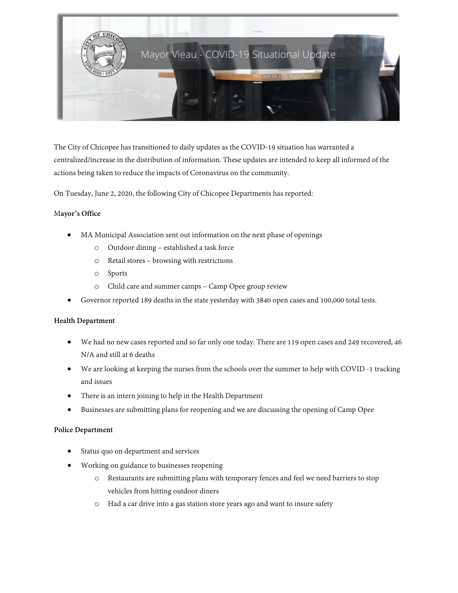

The City of Chicopee has transitioned to daily updates as the COVID-19 situation has warranted a centralized/increase in the distribution of information. These updates are intended to keep all informed of the actions being taken to reduce the impacts of Coronavirus on the community.

On Tuesday, June 2, 2020, the following City of Chicopee Departments has reported:

# M**ayor's Office**

- MA Municipal Association sent out information on the next phase of openings
	- o Outdoor dining established a task force
	- o Retail stores browsing with restrictions
	- o Sports
	- o Child care and summer camps Camp Opee group review
- Governor reported 189 deaths in the state yesterday with 3840 open cases and 100,000 total tests.

#### **Health Department**

- We had no new cases reported and so far only one today. There are 119 open cases and 249 recovered, 46 N/A and still at 6 deaths
- We are looking at keeping the nurses from the schools over the summer to help with COVID -1 tracking and issues
- There is an intern joining to help in the Health Department
- Businesses are submitting plans for reopening and we are discussing the opening of Camp Opee

#### **Police Department**

- Status quo on department and services
- Working on guidance to businesses reopening
	- o Restaurants are submitting plans with temporary fences and feel we need barriers to stop vehicles from hitting outdoor diners
	- o Had a car drive into a gas station store years ago and want to insure safety